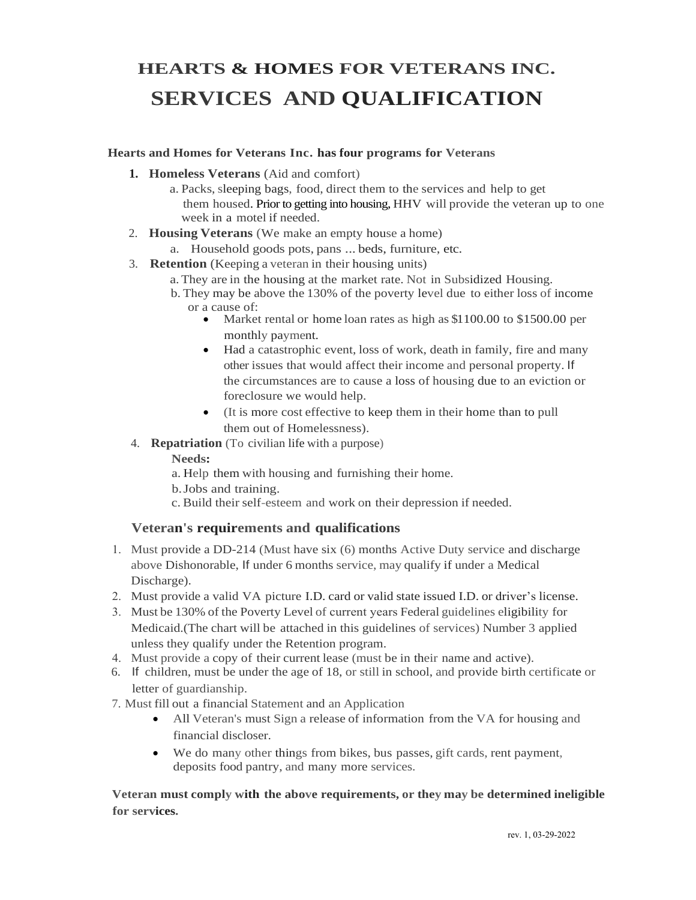## **HEARTS & HOMES FOR VETERANS INC. SERVICES AND QUALIFICATION**

#### **Hearts and Homes for Veterans Inc. has four programs for Veterans**

- **1. Homeless Veterans** (Aid and comfort)
	- a. Packs, sleeping bags, food, direct them to the services and help to get them housed. Prior to getting into housing, HHV will provide the veteran up to one week in a motel if needed.
- 2. **Housing Veterans** (We make an empty house a home)
	- a. Household goods pots, pans ... beds, furniture, etc.
- 3. **Retention** (Keeping a veteran in their housing units)
	- a.They are in the housing at the market rate. Not in Subsidized Housing.
	- b. They may be above the 130% of the poverty level due to either loss of income or a cause of:
		- Market rental or home loan rates as high as \$1100.00 to \$1500.00 per monthly payment.
		- Had a catastrophic event, loss of work, death in family, fire and many other issues that would affect their income and personal property. If the circumstances are to cause a loss of housing due to an eviction or foreclosure we would help.
		- (It is more cost effective to keep them in their home than to pull them out of Homelessness).
- 4. **Repatriation** (To civilian life with a purpose)

#### **Needs:**

- a. Help them with housing and furnishing their home.
- b.Jobs and training.
- c. Build their self-esteem and work on their depression if needed.

#### **Veteran's requirements and qualifications**

- 1. Must provide a DD-214 (Must have six (6) months Active Duty service and discharge above Dishonorable, If under 6 months service, may qualify if under a Medical Discharge).
- 2. Must provide a valid VA picture I.D. card or valid state issued I.D. or driver's license.
- 3. Must be 130% of the Poverty Level of current years Federal guidelines eligibility for Medicaid.(The chart will be attached in this guidelines of services) Number 3 applied unless they qualify under the Retention program.
- 4. Must provide a copy of their current lease (must be in their name and active).
- 6. If children, must be under the age of 18, or still in school, and provide birth certificate or letter of guardianship.
- 7. Must fill out a financial Statement and an Application
	- All Veteran's must Sign a release of information from the VA for housing and financial discloser.
	- We do many other things from bikes, bus passes, gift cards, rent payment, deposits food pantry, and many more services.

**Veteran must comply with the above requirements, or they may be determined ineligible for services.**